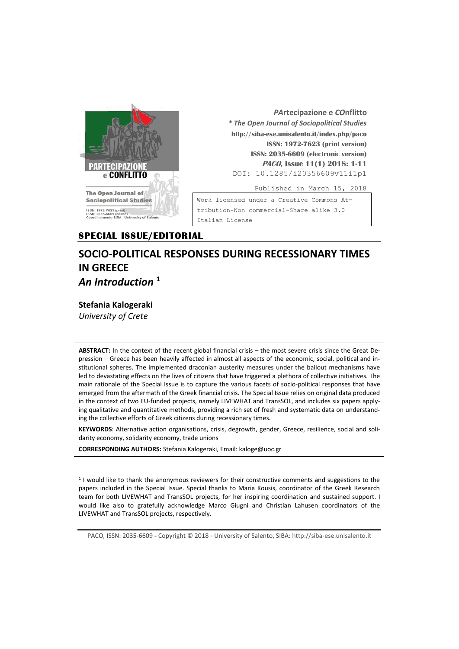

*PA***rtecipazione e** *CO***nflitto** *\* The Open Journal of Sociopolitical Studies* **http://siba-ese.unisalento.it/index.php/paco ISSN: 1972-7623 (print version) ISSN: 2035-6609 (electronic version) PACO, Issue 11(1) 2018: 1-11**  DOI: 10.1285/i20356609v11i1p1

Published in March 15, 2018

Work licensed under a [Creative Commons At](http://creativecommons.org/licenses/by-nc-nd/3.0/it/)[tribution-Non commercial-Share alike 3.0](http://creativecommons.org/licenses/by-nc-nd/3.0/it/)  [Italian License](http://creativecommons.org/licenses/by-nc-nd/3.0/it/) 

# **SPECIAL ISSUE/EDITORIAL**

# **SOCIO-POLITICAL RESPONSES DURING RECESSIONARY TIMES IN GREECE** *An Introduction* **<sup>1</sup>**

# **Stefania Kalogeraki**

*University of Crete*

**ABSTRACT:** In the context of the recent global financial crisis – the most severe crisis since the Great Depression – Greece has been heavily affected in almost all aspects of the economic, social, political and institutional spheres. The implemented draconian austerity measures under the bailout mechanisms have led to devastating effects on the lives of citizens that have triggered a plethora of collective initiatives. The main rationale of the Special Issue is to capture the various facets of socio-political responses that have emerged from the aftermath of the Greek financial crisis. The Special Issue relies on original data produced in the context of two EU-funded projects, namely LIVEWHAT and TransSOL, and includes six papers applying qualitative and quantitative methods, providing a rich set of fresh and systematic data on understanding the collective efforts of Greek citizens during recessionary times.

**KEYWORDS**: Alternative action organisations, crisis, degrowth, gender, Greece, resilience, social and solidarity economy, solidarity economy, trade unions

**CORRESPONDING AUTHORS:** Stefania Kalogeraki, Email: kaloge@uoc.gr

1 I would like to thank the anonymous reviewers for their constructive comments and suggestions to the papers included in the Special Issue. Special thanks to Maria Kousis, coordinator of the Greek Research team for both LIVEWHAT and TransSOL projects, for her inspiring coordination and sustained support. I would like also to gratefully acknowledge Marco Giugni and Christian Lahusen coordinators of the LIVEWHAT and TransSOL projects, respectively.

PACO*,* ISSN: 2035-6609 - Copyright © 2018 - University of Salento, SIBA: http://siba-ese.unisalento.it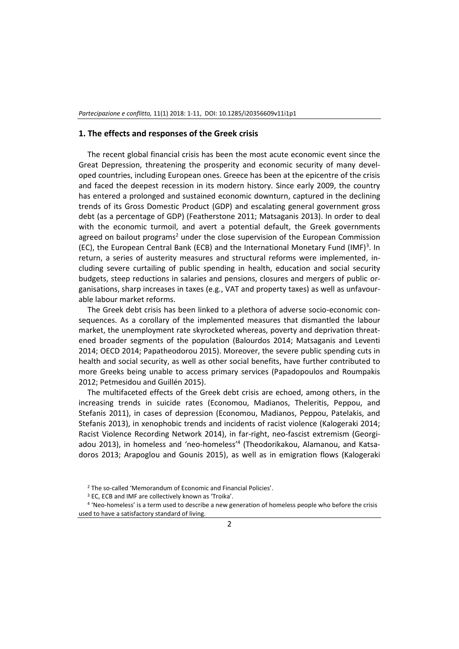### **1. The effects and responses of the Greek crisis**

The recent global financial crisis has been the most acute economic event since the Great Depression, threatening the prosperity and economic security of many developed countries, including European ones. Greece has been at the epicentre of the crisis and faced the deepest recession in its modern history. Since early 2009, the country has entered a prolonged and sustained economic downturn, captured in the declining trends of its Gross Domestic Product (GDP) and escalating general government gross debt (as a percentage of GDP) (Featherstone 2011; Matsaganis 2013). In order to deal with the economic turmoil, and avert a potential default, the Greek governments agreed on bailout programs<sup>2</sup> under the close supervision of the European Commission (EC), the European Central Bank (ECB) and the International Monetary Fund (IMF)<sup>3</sup>. In return, a series of austerity measures and structural reforms were implemented, including severe curtailing of public spending in health, education and social security budgets, steep reductions in salaries and pensions, closures and mergers of public organisations, sharp increases in taxes (e.g., VAT and property taxes) as well as unfavourable labour market reforms.

The Greek debt crisis has been linked to a plethora of adverse socio-economic consequences. As a corollary of the implemented measures that dismantled the labour market, the unemployment rate skyrocketed whereas, poverty and deprivation threatened broader segments of the population (Balourdos 2014; Matsaganis and Leventi 2014; OECD 2014; Papatheodorou 2015). Moreover, the severe public spending cuts in health and social security, as well as other social benefits, have further contributed to more Greeks being unable to access primary services (Papadopoulos and Roumpakis 2012; Petmesidou and Guillén 2015).

The multifaceted effects of the Greek debt crisis are echoed, among others, in the increasing trends in suicide rates (Economou, Madianos, Theleritis, Peppou, and Stefanis 2011), in cases of depression (Economou, Madianos, Peppou, Patelakis, and Stefanis 2013), in xenophobic trends and incidents of racist violence (Kalogeraki 2014; Racist Violence Recording Network 2014), in far-right, neo-fascist extremism (Georgiadou 2013), in homeless and 'neo-homeless'<sup>4</sup> (Theodorikakou, Alamanou, and Katsadoros 2013; Arapoglou and Gounis 2015), as well as in emigration flows (Kalogeraki

<sup>2</sup> The so-called 'Memorandum of Economic and Financial Policies'.

<sup>3</sup> EC, ECB and IMF are collectively known as 'Troika'.

<sup>4</sup> 'Neo-homeless' is a term used to describe a new generation of homeless people who before the crisis used to have a satisfactory standard of living.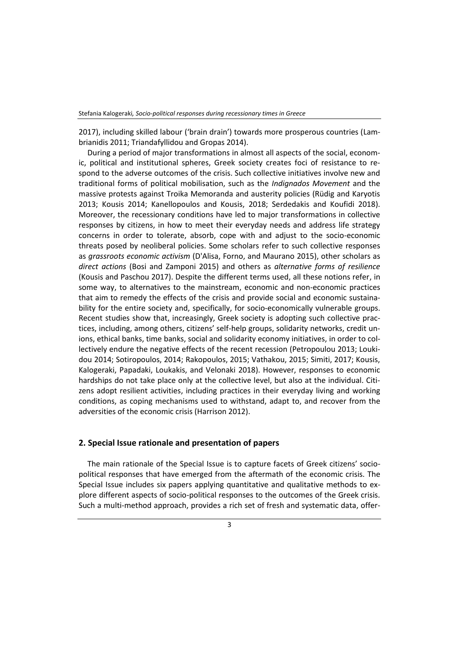2017), including skilled labour ('brain drain') towards more prosperous countries (Lambrianidis 2011; Triandafyllidou and Gropas 2014).

During a period of major transformations in almost all aspects of the social, economic, political and institutional spheres, Greek society creates foci of resistance to respond to the adverse outcomes of the crisis. Such collective initiatives involve new and traditional forms of political mobilisation, such as the *Indignados Movement* and the massive protests against Troika Memoranda and austerity policies (Rüdig and Karyotis 2013; Kousis 2014; Kanellopoulos and Kousis, 2018; Serdedakis and Koufidi 2018). Moreover, the recessionary conditions have led to major transformations in collective responses by citizens, in how to meet their everyday needs and address life strategy concerns in order to tolerate, absorb, cope with and adjust to the socio-economic threats posed by neoliberal policies. Some scholars refer to such collective responses as *grassroots economic activism* (D'Alisa, Forno, and Maurano 2015), other scholars as *direct actions* (Bosi and Zamponi 2015) and others as *alternative forms of resilience* (Kousis and Paschou 2017). Despite the different terms used, all these notions refer, in some way, to alternatives to the mainstream, economic and non-economic practices that aim to remedy the effects of the crisis and provide social and economic sustainability for the entire society and, specifically, for socio-economically vulnerable groups. Recent studies show that, increasingly, Greek society is adopting such collective practices, including, among others, citizens' self-help groups, solidarity networks, credit unions, ethical banks, time banks, social and solidarity economy initiatives, in order to collectively endure the negative effects of the recent recession (Petropoulou 2013; Loukidou 2014; Sotiropoulos, 2014; Rakopoulos, 2015; Vathakou, 2015; Simiti, 2017; Kousis, Kalogeraki, Papadaki, Loukakis, and Velonaki 2018). However, responses to economic hardships do not take place only at the collective level, but also at the individual. Citizens adopt resilient activities, including practices in their everyday living and working conditions, as coping mechanisms used to withstand, adapt to, and recover from the adversities of the economic crisis (Harrison 2012).

## **2. Special Issue rationale and presentation of papers**

The main rationale of the Special Issue is to capture facets of Greek citizens' sociopolitical responses that have emerged from the aftermath of the economic crisis. The Special Issue includes six papers applying quantitative and qualitative methods to explore different aspects of socio-political responses to the outcomes of the Greek crisis. Such a multi-method approach, provides a rich set of fresh and systematic data, offer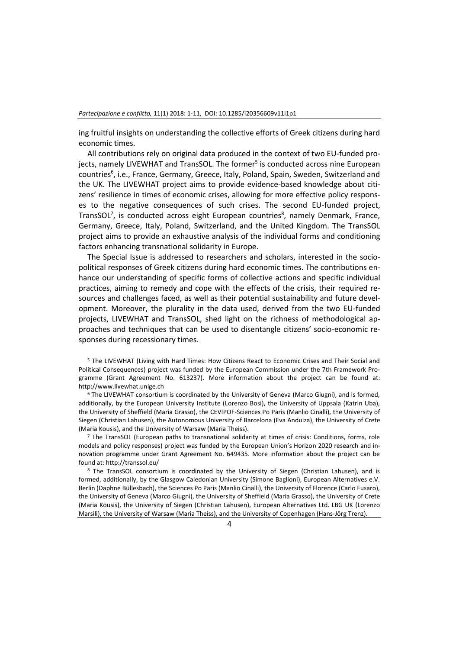ing fruitful insights on understanding the collective efforts of Greek citizens during hard economic times.

All contributions rely on original data produced in the context of two EU-funded projects, namely LIVEWHAT and TransSOL. The former<sup>5</sup> is conducted across nine European countries<sup>6</sup>, i.e., France, Germany, Greece, Italy, Poland, Spain, Sweden, Switzerland and the UK. The LIVEWHAT project aims to provide evidence-based knowledge about citizens' resilience in times of economic crises, allowing for more effective policy responses to the negative consequences of such crises. The second EU-funded project, TransSOL<sup>7</sup>, is conducted across eight European countries<sup>8</sup>, namely Denmark, France, Germany, Greece, Italy, Poland, Switzerland, and the United Kingdom. The TransSOL project aims to provide an exhaustive analysis of the individual forms and conditioning factors enhancing transnational solidarity in Europe.

The Special Issue is addressed to researchers and scholars, interested in the sociopolitical responses of Greek citizens during hard economic times. The contributions enhance our understanding of specific forms of collective actions and specific individual practices, aiming to remedy and cope with the effects of the crisis, their required resources and challenges faced, as well as their potential sustainability and future development. Moreover, the plurality in the data used, derived from the two EU-funded projects, LIVEWHAT and TransSOL, shed light on the richness of methodological approaches and techniques that can be used to disentangle citizens' socio-economic responses during recessionary times.

<sup>5</sup> The LIVEWHAT (Living with Hard Times: How Citizens React to Economic Crises and Their Social and Political Consequences) project was funded by the European Commission under the 7th Framework Programme (Grant Agreement No. 613237). More information about the project can be found at: [http://www.livewhat.unige.ch](http://www.livewhat.unige.ch/)

<sup>6</sup> The LIVEWHAT consortium is coordinated by the University of Geneva (Marco Giugni), and is formed, additionally, by the European University Institute (Lorenzo Bosi), the University of Uppsala (Katrin Uba), the University of Sheffield (Maria Grasso), the CEVIPOF-Sciences Po Paris (Manlio Cinalli), the University of Siegen (Christian Lahusen), the Autonomous University of Barcelona (Eva Anduiza), the University of Crete (Maria Kousis), and the University of Warsaw (Maria Theiss).

 $<sup>7</sup>$  The TransSOL (European paths to transnational solidarity at times of crisis: Conditions, forms, role</sup> models and policy responses) project was funded by the European Union's Horizon 2020 research and innovation programme under Grant Agreement No. 649435. More information about the project can be found at: http://transsol.eu/

<sup>8</sup> The TransSOL consortium is coordinated by the University of Siegen (Christian Lahusen), and is formed, additionally, by the Glasgow Caledonian University (Simone Baglioni), European Alternatives e.V. Berlin (Daphne Büllesbach), the Sciences Po Paris (Manlio Cinalli), the University of Florence (Carlo Fusaro), the University of Geneva (Marco Giugni), the University of Sheffield (Maria Grasso), the University of Crete (Maria Kousis), the University of Siegen (Christian Lahusen), European Alternatives Ltd. LBG UK (Lorenzo Marsili), the University of Warsaw (Maria Theiss), and the University of Copenhagen (Hans-Jörg Trenz).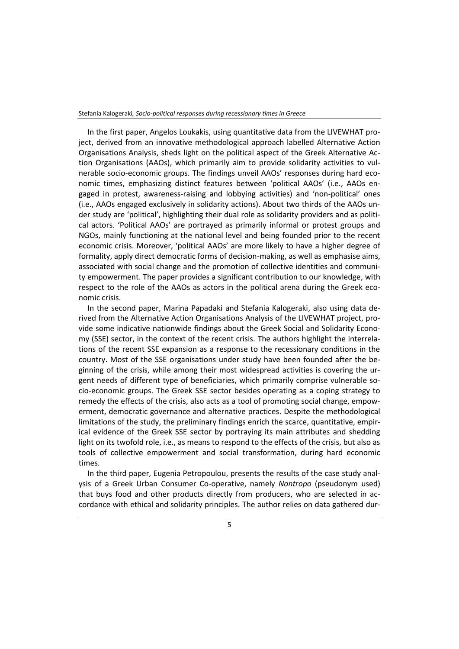In the first paper, Angelos Loukakis, using quantitative data from the LIVEWHAT project, derived from an innovative methodological approach labelled Alternative Action Organisations Analysis, sheds light on the political aspect of the Greek Alternative Action Organisations (AAOs), which primarily aim to provide solidarity activities to vulnerable socio-economic groups. The findings unveil AAOs' responses during hard economic times, emphasizing distinct features between 'political AAOs' (i.e., AAOs engaged in protest, awareness-raising and lobbying activities) and 'non-political' ones (i.e., AAOs engaged exclusively in solidarity actions). About two thirds of the AAOs under study are 'political', highlighting their dual role as solidarity providers and as political actors. 'Political AAOs' are portrayed as primarily informal or protest groups and NGOs, mainly functioning at the national level and being founded prior to the recent economic crisis. Moreover, 'political AAOs' are more likely to have a higher degree of formality, apply direct democratic forms of decision-making, as well as emphasise aims, associated with social change and the promotion of collective identities and community empowerment. The paper provides a significant contribution to our knowledge, with respect to the role of the AAOs as actors in the political arena during the Greek economic crisis.

In the second paper, Marina Papadaki and Stefania Kalogeraki, also using data derived from the Alternative Action Organisations Analysis of the LIVEWHAT project, provide some indicative nationwide findings about the Greek Social and Solidarity Economy (SSE) sector, in the context of the recent crisis. The authors highlight the interrelations of the recent SSE expansion as a response to the recessionary conditions in the country. Most of the SSE organisations under study have been founded after the beginning of the crisis, while among their most widespread activities is covering the urgent needs of different type of beneficiaries, which primarily comprise vulnerable socio-economic groups. The Greek SSE sector besides operating as a coping strategy to remedy the effects of the crisis, also acts as a tool of promoting social change, empowerment, democratic governance and alternative practices. Despite the methodological limitations of the study, the preliminary findings enrich the scarce, quantitative, empirical evidence of the Greek SSE sector by portraying its main attributes and shedding light on its twofold role, i.e., as means to respond to the effects of the crisis, but also as tools of collective empowerment and social transformation, during hard economic times.

In the third paper, Eugenia Petropoulou, presents the results of the case study analysis of a Greek Urban Consumer Co-operative, namely *Nontropo* (pseudonym used) that buys food and other products directly from producers, who are selected in accordance with ethical and solidarity principles. The author relies on data gathered dur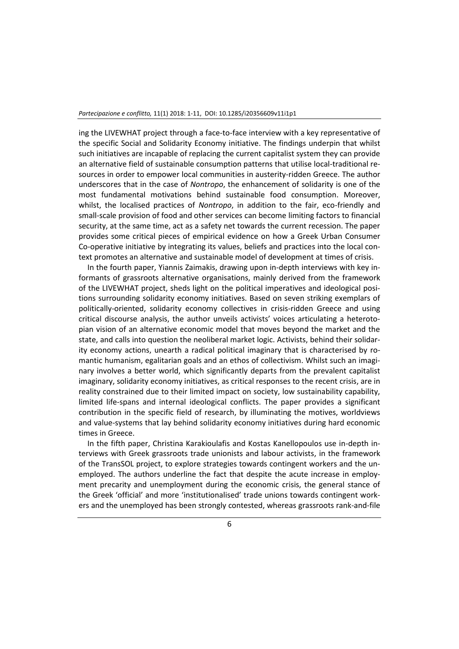ing the LIVEWHAT project through a face-to-face interview with a key representative of the specific Social and Solidarity Economy initiative. The findings underpin that whilst such initiatives are incapable of replacing the current capitalist system they can provide an alternative field of sustainable consumption patterns that utilise local-traditional resources in order to empower local communities in austerity-ridden Greece. The author underscores that in the case of *Nontropo*, the enhancement of solidarity is one of the most fundamental motivations behind sustainable food consumption. Moreover, whilst, the localised practices of *Nontropo*, in addition to the fair, eco-friendly and small-scale provision of food and other services can become limiting factors to financial security, at the same time, act as a safety net towards the current recession. The paper provides some critical pieces of empirical evidence on how a Greek Urban Consumer Co-operative initiative by integrating its values, beliefs and practices into the local context promotes an alternative and sustainable model of development at times of crisis.

In the fourth paper, Yiannis Zaimakis, drawing upon in-depth interviews with key informants of grassroots alternative organisations, mainly derived from the framework of the LIVEWHAT project, sheds light on the political imperatives and ideological positions surrounding solidarity economy initiatives. Based on seven striking exemplars of politically-oriented, solidarity economy collectives in crisis-ridden Greece and using critical discourse analysis, the author unveils activists' voices articulating a heterotopian vision of an alternative economic model that moves beyond the market and the state, and calls into question the neoliberal market logic. Activists, behind their solidarity economy actions, unearth a radical political imaginary that is characterised by romantic humanism, egalitarian goals and an ethos of collectivism. Whilst such an imaginary involves a better world, which significantly departs from the prevalent capitalist imaginary, solidarity economy initiatives, as critical responses to the recent crisis, are in reality constrained due to their limited impact on society, low sustainability capability, limited life-spans and internal ideological conflicts. The paper provides a significant contribution in the specific field of research, by illuminating the motives, worldviews and value-systems that lay behind solidarity economy initiatives during hard economic times in Greece.

In the fifth paper, Christina Karakioulafis and Kostas Kanellopoulos use in-depth interviews with Greek grassroots trade unionists and labour activists, in the framework of the TransSOL project, to explore strategies towards contingent workers and the unemployed. The authors underline the fact that despite the acute increase in employment precarity and unemployment during the economic crisis, the general stance of the Greek 'official' and more 'institutionalised' trade unions towards contingent workers and the unemployed has been strongly contested, whereas grassroots rank-and-file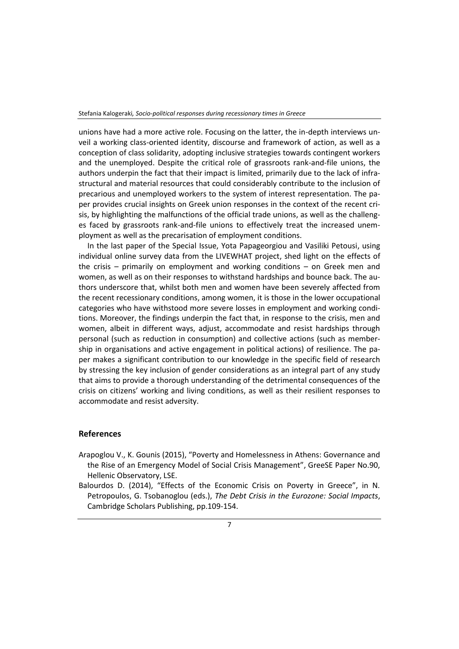unions have had a more active role. Focusing on the latter, the in-depth interviews unveil a working class-oriented identity, discourse and framework of action, as well as a conception of class solidarity, adopting inclusive strategies towards contingent workers and the unemployed. Despite the critical role of grassroots rank-and-file unions, the authors underpin the fact that their impact is limited, primarily due to the lack of infrastructural and material resources that could considerably contribute to the inclusion of precarious and unemployed workers to the system of interest representation. The paper provides crucial insights on Greek union responses in the context of the recent crisis, by highlighting the malfunctions of the official trade unions, as well as the challenges faced by grassroots rank-and-file unions to effectively treat the increased unemployment as well as the precarisation of employment conditions.

In the last paper of the Special Issue, Yota Papageorgiou and Vasiliki Petousi, using individual online survey data from the LIVEWHAT project, shed light on the effects of the crisis – primarily on employment and working conditions – on Greek men and women, as well as on their responses to withstand hardships and bounce back. The authors underscore that, whilst both men and women have been severely affected from the recent recessionary conditions, among women, it is those in the lower occupational categories who have withstood more severe losses in employment and working conditions. Moreover, the findings underpin the fact that, in response to the crisis, men and women, albeit in different ways, adjust, accommodate and resist hardships through personal (such as reduction in consumption) and collective actions (such as membership in organisations and active engagement in political actions) of resilience. The paper makes a significant contribution to our knowledge in the specific field of research by stressing the key inclusion of gender considerations as an integral part of any study that aims to provide a thorough understanding of the detrimental consequences of the crisis on citizens' working and living conditions, as well as their resilient responses to accommodate and resist adversity.

## **References**

- Arapoglou V., K. Gounis (2015), "Poverty and Homelessness in Athens: Governance and the Rise of an Emergency Model of Social Crisis Management", GreeSE Paper No.90, Hellenic Observatory, LSE.
- Balourdos D. (2014), "Effects of the Economic Crisis on Poverty in Greece", in N. Petropoulos, G. Tsobanoglou (eds.), *The Debt Crisis in the Eurozone: Social Impacts*, Cambridge Scholars Publishing, pp.109-154.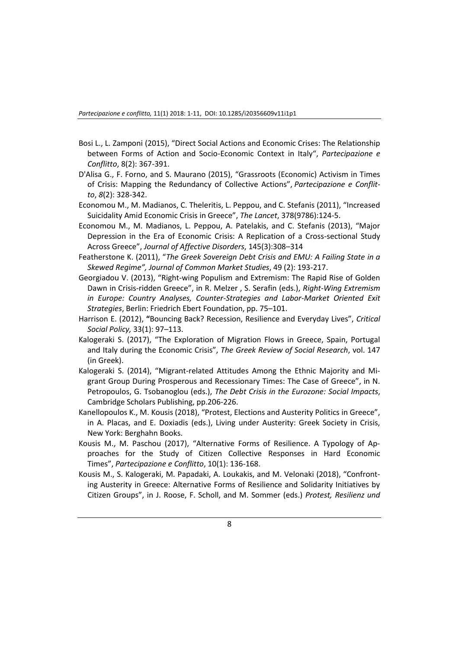- Bosi L., L. Zamponi (2015), "Direct Social Actions and Economic Crises: The Relationship between Forms of Action and Socio-Economic Context in Italy", *Partecipazione e Conflitto*, 8(2): 367-391.
- D'Alisa G., F. Forno, and S. Maurano (2015), "Grassroots (Economic) Activism in Times of Crisis: Mapping the Redundancy of Collective Actions", *Partecipazione e Conflitto*, *8*(2): 328-342.
- Economou M., M. Madianos, C. Theleritis, L. Peppou, and C. Stefanis (2011), "Increased Suicidality Amid Economic Crisis in Greece", *The Lancet*, 378(9786):124-5.
- Economou M., M. Madianos, L. Peppou, A. Patelakis, and C. Stefanis (2013), "Major Depression in the Era of Economic Crisis: A Replication of a Cross-sectional Study Across Greece", *Journal of Affective Disorders*, 145(3):308–314
- Featherstone K. (2011), "*The Greek Sovereign Debt Crisis and EMU: A Failing State in a Skewed Regime", Journal of Common Market Studies*, 49 (2): 193-217.
- Georgiadou V. (2013), "Right-wing Populism and Extremism: The Rapid Rise of Golden Dawn in Crisis-ridden Greece", in R. Melzer , S. Serafin (eds.), *Right-Wing Extremism in Europe: Country Analyses, Counter-Strategies and Labor-Market Oriented Exit Strategies*, Berlin: Friedrich Ebert Foundation, pp. 75–101.
- Harrison E. (2012), **"**Bouncing Back? Recession, Resilience and Everyday Lives", *Critical Social Policy,* 33(1): 97–113.
- Kalogeraki S. (2017), "The Exploration of Migration Flows in Greece, Spain, Portugal and Italy during the Economic Crisis", *The Greek Review of Social Research*, vol. 147 (in Greek).
- Kalogeraki S. (2014), "Migrant-related Attitudes Among the Ethnic Majority and Migrant Group During Prosperous and Recessionary Times: The Case of Greece", in N. Petropoulos, G. Tsobanoglou (eds.), *The Debt Crisis in the Eurozone: Social Impacts*, Cambridge Scholars Publishing, pp.206-226.
- Kanellopoulos K., M. Kousis (2018), "Protest, Elections and Austerity Politics in Greece", in A. Placas, and E. Doxiadis (eds.), Living under Austerity: Greek Society in Crisis, New York: Berghahn Books.
- Kousis M., M. Paschou (2017), "Alternative Forms of Resilience. A Typology of Approaches for the Study of Citizen Collective Responses in Hard Economic Times", *Partecipazione e Conflitto*, 10(1): 136-168.
- Kousis M., S. Kalogeraki, M. Papadaki, A. Loukakis, and M. Velonaki (2018), "Confronting Austerity in Greece: Alternative Forms of Resilience and Solidarity Initiatives by Citizen Groups", in J. Roose, F. Scholl, and M. Sommer (eds.) *Protest, Resilienz und*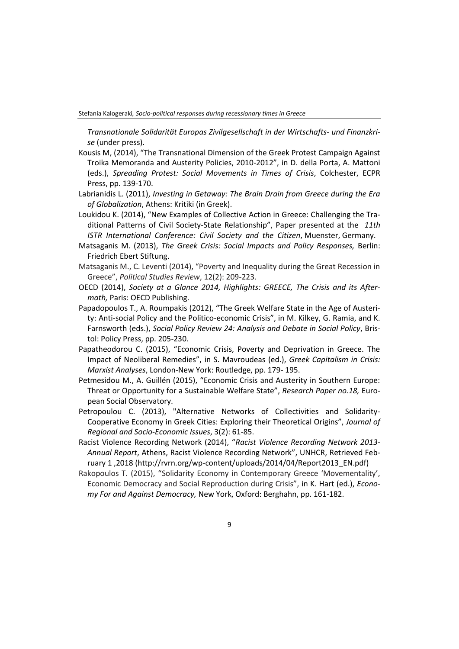Stefania Kalogeraki*, Socio-political responses during recessionary times in Greece*

*Transnationale Solidarität Europas Zivilgesellschaft in der Wirtschafts- und Finanzkrise* (under press).

- Kousis M, (2014), "The Transnational Dimension of the Greek Protest Campaign Against Troika Memoranda and Austerity Policies, 2010-2012", in D. della Porta, A. Mattoni (eds.), *Spreading Protest: Social Movements in Times of Crisis*, Colchester, ECPR Press, pp. 139-170.
- Labrianidis L. (2011), *Investing in Getaway: The Brain Drain from Greece during the Era of Globalization*, Athens: Kritiki (in Greek).
- Loukidou K. (2014), "New Examples of Collective Action in Greece: Challenging the Traditional Patterns of Civil Society-State Relationship", Paper presented at the *11th ISTR International Conference: Civil Society and the Citizen*, Muenster, Germany.
- Matsaganis M. (2013), *The Greek Crisis: Social Impacts and Policy Responses,* Berlin: Friedrich Ebert Stiftung.
- Matsaganis M., C. Leventi (2014), "Poverty and Inequality during the Great Recession in Greece", *Political Studies Review*, 12(2): 209-223.
- OECD (2014), *Society at a Glance 2014, Highlights: GREECE, The Crisis and its Aftermath,* Paris: OECD Publishing.
- Papadopoulos T., A. Roumpakis (2012), "The Greek Welfare State in the Age of Austerity: Anti-social Policy and the Politico-economic Crisis", in M. Kilkey, G. Ramia, and K. Farnsworth (eds.), *Social Policy Review 24: Analysis and Debate in Social Policy*, Bristol: Policy Press, pp. 205-230.
- Papatheodorou C. (2015), "Economic Crisis, Poverty and Deprivation in Greece. The Impact of Neoliberal Remedies", in S. Mavroudeas (ed.), *Greek Capitalism in Crisis: Marxist Analyses*, London-New York: Routledge, pp. 179- 195.
- Petmesidou M., A. Guillén (2015), "Economic Crisis and Austerity in Southern Europe: Threat or Opportunity for a Sustainable Welfare State", *Research Paper no.18,* European Social Observatory.
- Petropoulou C. (2013), "Alternative Networks of Collectivities and Solidarity-Cooperative Economy in Greek Cities: Exploring their Theoretical Origins", *Journal of Regional and Socio-Economic Issues*, 3(2): 61-85.
- Racist Violence Recording Network (2014), "*Racist Violence Recording Network 2013- Annual Report*, Athens, Racist Violence Recording Network", UNHCR, Retrieved February 1 ,2018 (http://rvrn.org/wp-content/uploads/2014/04/Report2013\_EN.pdf)
- Rakopoulos T. (2015), "Solidarity Economy in Contemporary Greece 'Movementality', Economic Democracy and Social Reproduction during Crisis", in K. Hart (ed.), *Economy For and Against Democracy,* New York, Oxford: Berghahn, pp. 161-182.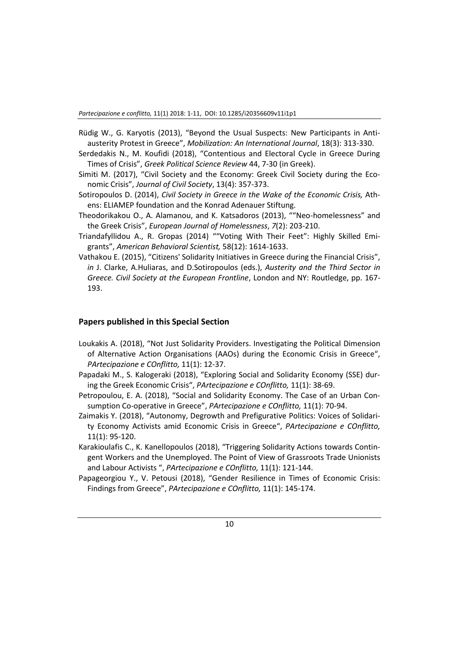- Rüdig W., G. Karyotis (2013), "Beyond the Usual Suspects: New Participants in Antiausterity Protest in Greece", *Mobilization: An International Journal*, 18(3): 313-330.
- Serdedakis Ν., M. Koufidi (2018), "Contentious and Electoral Cycle in Greece During Times of Crisis", *Greek Political Science Review* 44, 7-30 (in Greek).
- Simiti M. (2017), "Civil Society and the Economy: Greek Civil Society during the Economic Crisis", *Journal of Civil Society*, 13(4): 357-373.
- Sotiropoulos D. (2014), *Civil Society in Greece in the Wake of the Economic Crisis,* Athens: ELIAMEP foundation and the Konrad Adenauer Stiftung.
- Theodorikakou O., A. Alamanou, and K. Katsadoros (2013), ""Neo-homelessness" and the Greek Crisis", *European Journal of Homelessness*, *7*(2): 203-210.
- Triandafyllidou A., R. Gropas (2014) ""Voting With Their Feet": Highly Skilled Emigrants", *American Behavioral Scientist,* 58(12): 1614-1633.
- Vathakou E. (2015), "Citizens' Solidarity Initiatives in Greece during the Financial Crisis", *in* J. Clarke, A.Huliaras, and D.Sotiropoulos (eds.), *Austerity and the Third Sector in Greece. Civil Society at the European Frontline*, London and NY: Routledge, pp. 167- 193.

#### **Papers published in this Special Section**

- Loukakis A. (2018), "Not Just Solidarity Providers. Investigating the Political Dimension of Alternative Action Organisations (AAOs) during the Economic Crisis in Greece", *PArtecipazione e COnflitto,* 11(1): 12-37.
- Papadaki M., S. Kalogeraki (2018), "Exploring Social and Solidarity Economy (SSE) during the Greek Economic Crisis", *PArtecipazione e COnflitto,* 11(1): 38-69.
- Petropoulou, E. A. (2018), "Social and Solidarity Economy. The Case of an Urban Consumption Co-operative in Greece", *PArtecipazione e COnflitto,* 11(1): 70-94.
- Zaimakis Y. (2018), "Autonomy, Degrowth and Prefigurative Politics: Voices of Solidarity Economy Activists amid Economic Crisis in Greece", *PArtecipazione e COnflitto,*  11(1): 95-120.
- Karakioulafis C., K. Kanellopoulos (2018), "Triggering Solidarity Actions towards Contingent Workers and the Unemployed. The Point of View of Grassroots Trade Unionists and Labour Activists ", *PArtecipazione e COnflitto,* 11(1): 121-144.
- Papageorgiou Y., V. Petousi (2018), "Gender Resilience in Times of Economic Crisis: Findings from Greece", *PArtecipazione e COnflitto,* 11(1): 145-174.